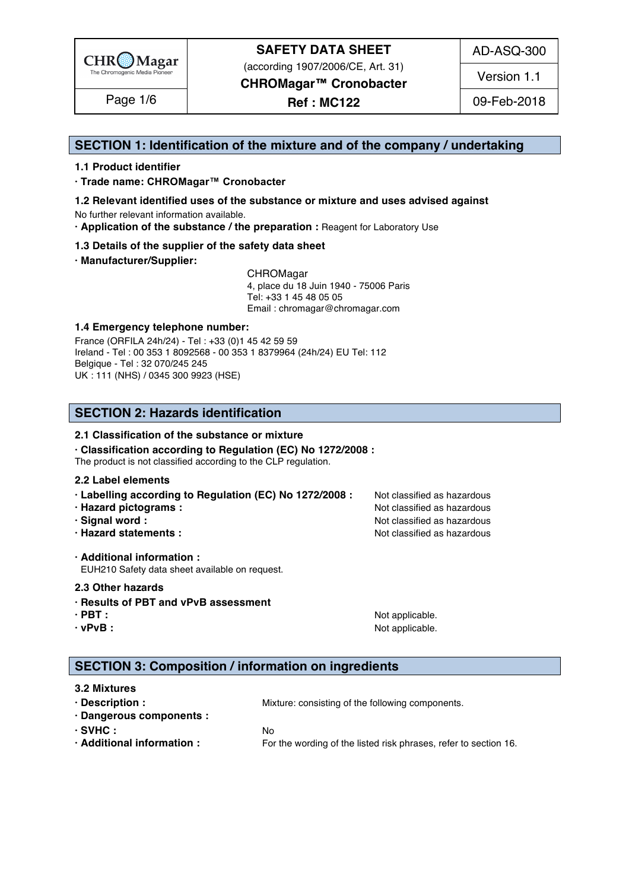

(according 1907/2006/CE, Art. 31)

AD-ASQ-300

Version 1.1

**CHROMagar™ Cronobacter**

Page 1/6 | **Ref : MC122** | 09-Feb-2018

### **SECTION 1: Identification of the mixture and of the company / undertaking** 1

### **1.1 Product identifier** 2

**· Trade name: CHROMagar™ Cronobacter** 3

- **1.2 Relevant identified uses of the substance or mixture and uses advised against** 4 No further relevant information available. 5
- **· Application of the substance / the preparation :** Reagent for Laboratory Use 6

### **1.3 Details of the supplier of the safety data sheet** 7

**· Manufacturer/Supplier:** 8

CHROMagar 9 4, place du 18 Juin 1940 - 75006 Paris 10 Tel: +33 1 45 48 05 05 11 11 12 11 12 11 12 11 12 11 12 11 12 11 12 11 12 11 12 1 Email : chromagar@chromagar.com 12

### **1.4 Emergency telephone number:**  $\blacksquare$  **1.4 Emergency telephone number:**

France (ORFILA 24h/24) - Tel: +33 (0)1 45 42 59 59 Ireland - Tel: 00 353 1 8092568 - 00 353 1 8379964 (24h/24) EU Tel: 112 Belgique - Tel : 32 070/245 245 16 UK : 111 (NHS) / 0345 300 9923 (HSE) 17

# **SECTION 2: Hazards identification** 20

### **2.1 Classification of the substance or mixture**

**· Classification according to Regulation (EC) No 1272/2008 :** 22

The product is not classified according to the CLP regulation.

### **2.2 Label elements** 24

- **· Labelling according to Regulation (EC) No 1272/2008 : Not classified as hazardous**
- **· Hazard pictograms :** Not classified as hazardous 26 and 26 and 26 and 26 and 26 and 26 and 26 and 26 and 26 and 26 and 26 and 26 and 26 and 26 and 26 and 26 and 26 and 26 and 26 and 26 and 26 and 26 and 26 and 26 and 26
- **· Signal word :** Not classified as hazardous 27 and 27 and 27 and 27 and 27 and 27 and 27 and 27 and 27 and 27 and 27 and 27 and 27 and 27 and 27 and 27 and 27 and 27 and 27 and 27 and 27 and 27 and 27 and 27 and 27 and 2
- **· Hazard statements :** Not classified as hazardous 28 and 28 and 28 and 28 and 28 and 28 and 28 and 28 and 28 and 28 and 28 and 28 and 28 and 28 and 28 and 28 and 28 and 28 and 28 and 28 and 28 and 28 and 28 and 28 and 28

**· Additional information :** 30 EUH210 Safety data sheet available on request.

### **2.3 Other hazards** 32

- **· Results of PBT and vPvB assessment** 33
- 
- 

**· PBT :**  $\blacksquare$  **:**  $\blacksquare$  **11**  $\blacksquare$  **11**  $\blacksquare$  **11**  $\blacksquare$  **11**  $\blacksquare$  **11**  $\blacksquare$  **11**  $\blacksquare$  **11**  $\blacksquare$  **11**  $\blacksquare$  **11**  $\blacksquare$  **11**  $\blacksquare$  **11**  $\blacksquare$  **11**  $\blacksquare$  **11**  $\blacksquare$  **11**  $\blacksquare$  **11**  $\blacksquare$  **11**  $\blacksquare$  **· vPvB :** Not applicable. 35

# **SECTION 3: Composition / information on ingredients**

### **3.2 Mixtures** 39

**· Description :** Mixture: consisting of the following components. 40 **· Dangerous components :** 41 **· SVHC :** No 42 **· Additional information :** For the wording of the listed risk phrases, refer to section 16.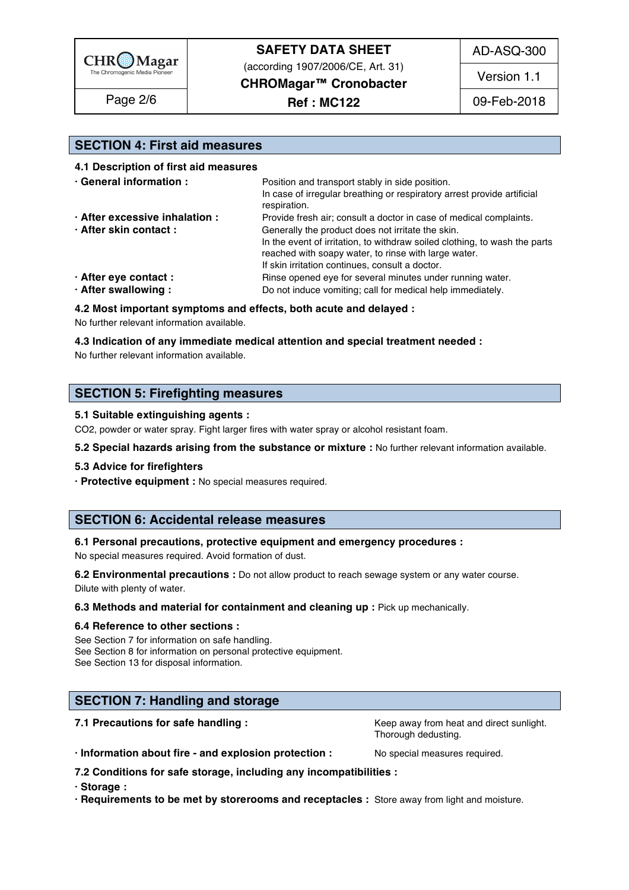

(according 1907/2006/CE, Art. 31)

AD-ASQ-300

**CHROMagar™ Cronobacter**

Page 2/6 | **Ref : MC122** | 09-Feb-2018

Version 1.1

# **SECTION 4: First aid measures** 49

### **4.1 Description of first aid measures** 50

| · General information :        | Position and transport stably in side position.                            |  |  |
|--------------------------------|----------------------------------------------------------------------------|--|--|
|                                | In case of irregular breathing or respiratory arrest provide artificial    |  |  |
|                                | respiration.                                                               |  |  |
| · After excessive inhalation : | Provide fresh air; consult a doctor in case of medical complaints.         |  |  |
| · After skin contact:          | Generally the product does not irritate the skin.                          |  |  |
|                                | In the event of irritation, to withdraw soiled clothing, to wash the parts |  |  |
|                                | reached with soapy water, to rinse with large water.                       |  |  |
|                                | If skin irritation continues, consult a doctor.                            |  |  |
| · After eye contact :          | Rinse opened eye for several minutes under running water.                  |  |  |
| · After swallowing:            | Do not induce vomiting; call for medical help immediately.                 |  |  |

### **4.2 Most important symptoms and effects, both acute and delayed :** 61

No further relevant information available. 62

### **4.3 Indication of any immediate medical attention and special treatment needed :** 63

No further relevant information available. 64

### **SECTION 5: Firefighting measures**

### **5.1 Suitable extinguishing agents :** 68

CO2, powder or water spray. Fight larger fires with water spray or alcohol resistant foam.

### **5.2 Special hazards arising from the substance or mixture :** No further relevant information available.

### **5.3 Advice for firefighters** 71

**· Protective equipment :** No special measures required.

### **SECTION 6: Accidental release measures**

### **6.1 Personal precautions, protective equipment and emergency procedures :** 76

No special measures required. Avoid formation of dust.

**6.2 Environmental precautions** : Do not allow product to reach sewage system or any water course. Dilute with plenty of water. The contract of the contract of the contract of the contract of the contract of the contract of the contract of the contract of the contract of the contract of the contract of the contract of t

### **6.3 Methods and material for containment and cleaning up : Pick up mechanically.**

### **6.4 Reference to other sections :** 81

See Section 7 for information on safe handling. See Section 8 for information on personal protective equipment. See Section 13 for disposal information. 844 and 200 km states and 200 km states and 200 km states and 200 km states and 200 km states are stated as  $\sim$  84.4 and 200 km states and 200 km states are states and 200 km state

## **SECTION 7: Handling and storage 87 and 200 million and 200 million and 200 million and 200 million and 200 million**

**7.1 Precautions for safe handling : Keep away from heat and direct sunlight.** 88

Thorough dedusting. Thorough dedusting and the set of the set of the set of the set of the set of the set of the set of the set of the set of the set of the set of the set of the set of the set of the set of the set of the

**· Information about fire - and explosion protection :** No special measures required. 90

**7.2 Conditions for safe storage, including any incompatibilities :** 91

**· Storage :** 92

**· Requirements to be met by storerooms and receptacles :** Store away from light and moisture. 93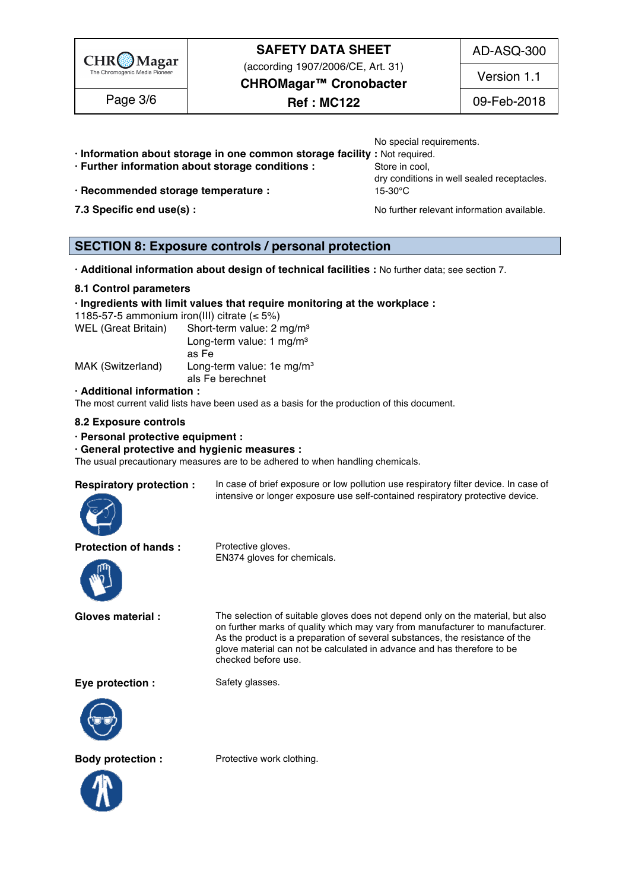

(according 1907/2006/CE, Art. 31)

AD-ASQ-300

Version 1.1

# **CHROMagar™ Cronobacter**

No special requirements.

Page 3/6 | **Ref : MC122** | 09-Feb-2018

- **· Information about storage in one common storage facility :** Not required. 95
- **· Further information about storage conditions : Store in cool, 96 Store in cool,**
- **· Recommended storage temperature :** 15-30°C 98
- 

dry conditions in well sealed receptacles.

**7.3 Specific end use(s) : No further relevant information available.** 99

### **SECTION 8: Exposure controls / personal protection**

**· Additional information about design of technical facilities :** No further data; see section 7. 103

### **8.1 Control parameters** 104

### **· Ingredients with limit values that require monitoring at the workplace :** 105

1185-57-5 ammonium iron(III) citrate  $( \leq 5\%)$ 

| WEL (Great Britain) | Short-term value: 2 mg/m <sup>3</sup> |  |
|---------------------|---------------------------------------|--|
|                     | Long-term value: 1 mg/m <sup>3</sup>  |  |
|                     | as Fe                                 |  |
| MAK (Switzerland)   | Long-term value: 1e mg/m <sup>3</sup> |  |
|                     | als Fe berechnet                      |  |

### **· Additional information :** 112

The most current valid lists have been used as a basis for the production of this document.

### **8.2 Exposure controls** 114

### **· Personal protective equipment :** 115

### **· General protective and hygienic measures :** 116

The usual precautionary measures are to be adhered to when handling chemicals.



**Respiratory protection :** In case of brief exposure or low pollution use respiratory filter device. In case of intensive or longer exposure use self-contained respiratory protective device.

### **Protection of hands :** Protective gloves.



EN374 gloves for chemicals.

**Gloves material :** The selection of suitable gloves does not depend only on the material, but also on further marks of quality which may vary from manufacturer to manufacturer. As the product is a preparation of several substances, the resistance of the glove material can not be calculated in advance and has therefore to be checked before use.

**Eye protection :** Safety glasses.







**Body protection :** Protective work clothing.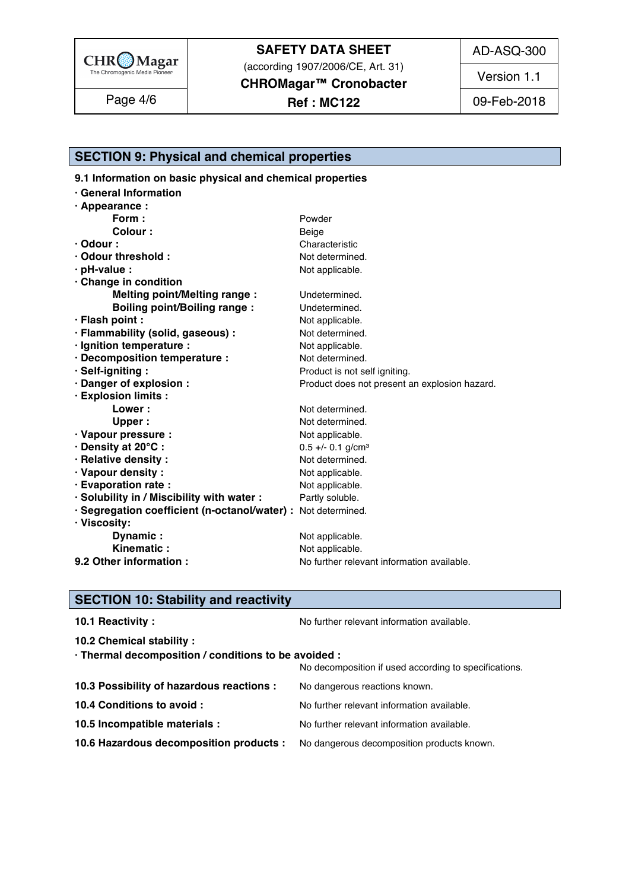

(according 1907/2006/CE, Art. 31)

**CHROMagar™ Cronobacter**

Page 4/6 | **Ref : MC122** | 09-Feb-2018

Version 1.1

**SECTION 9: Physical and chemical properties** 

9.1 Information on basic physical and chemical properties

| · General Information                                         |                                               |
|---------------------------------------------------------------|-----------------------------------------------|
| · Appearance :                                                |                                               |
| Form:                                                         | Powder                                        |
| Colour:                                                       | Beige                                         |
| $\cdot$ Odour :                                               | Characteristic                                |
| Odour threshold:                                              | Not determined.                               |
| $\cdot$ pH-value :                                            | Not applicable.                               |
| Change in condition                                           |                                               |
| <b>Melting point/Melting range:</b>                           | Undetermined.                                 |
| <b>Boiling point/Boiling range:</b>                           | Undetermined.                                 |
| · Flash point :                                               | Not applicable.                               |
| · Flammability (solid, gaseous) :                             | Not determined.                               |
| · Ignition temperature :                                      | Not applicable.                               |
| · Decomposition temperature :                                 | Not determined.                               |
| · Self-igniting:                                              | Product is not self igniting.                 |
| · Danger of explosion :                                       | Product does not present an explosion hazard. |
| · Explosion limits :                                          |                                               |
| Lower:                                                        | Not determined.                               |
| <b>Upper</b>                                                  | Not determined.                               |
| · Vapour pressure :                                           | Not applicable.                               |
| · Density at 20°C:                                            | $0.5 +/- 0.1$ g/cm <sup>3</sup>               |
| · Relative density :                                          | Not determined.                               |
| · Vapour density:                                             | Not applicable.                               |
| · Evaporation rate :                                          | Not applicable.                               |
| · Solubility in / Miscibility with water :                    | Partly soluble.                               |
| · Segregation coefficient (n-octanol/water) : Not determined. |                                               |
| · Viscosity:                                                  |                                               |
| Dynamic:                                                      | Not applicable.                               |
| Kinematic:                                                    | Not applicable.                               |
| 9.2 Other information :                                       | No further relevant information available.    |

# **SECTION 10: Stability and reactivity**

| 10.1 Reactivity:                                                                   | No further relevant information available.            |
|------------------------------------------------------------------------------------|-------------------------------------------------------|
| 10.2 Chemical stability :                                                          |                                                       |
| · Thermal decomposition / conditions to be avoided :                               |                                                       |
|                                                                                    | No decomposition if used according to specifications. |
| 10.3 Possibility of hazardous reactions :                                          | No dangerous reactions known.                         |
| 10.4 Conditions to avoid :                                                         | No further relevant information available.            |
| 10.5 Incompatible materials :                                                      | No further relevant information available.            |
| 10.6 Hazardous decomposition products : No dangerous decomposition products known. |                                                       |
|                                                                                    |                                                       |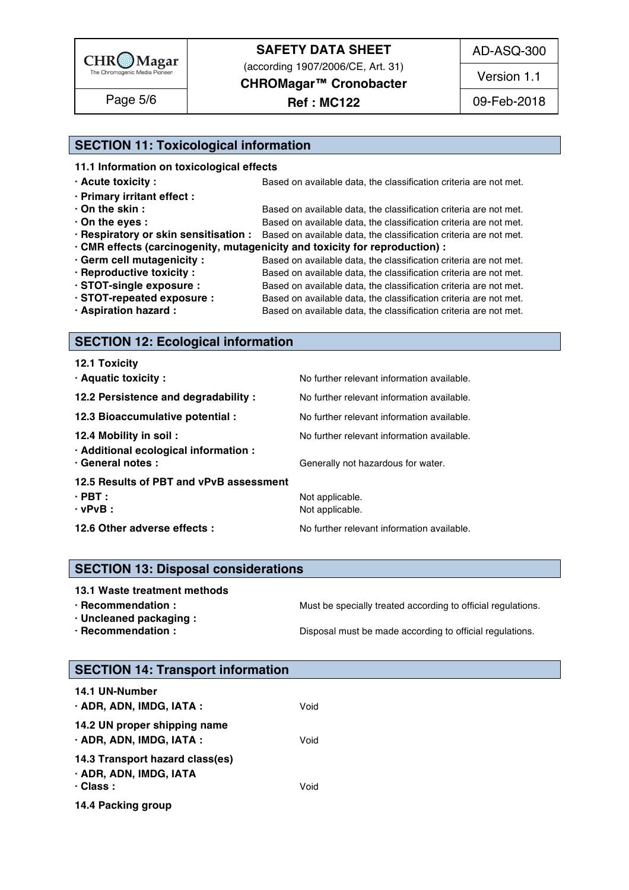

(according 1907/2006/CE, Art. 31)

**CHROMagar™ Cronobacter**

# Page 5/6 | **Ref : MC122** | 09-Feb-2018

AD-ASQ-300

Version 1.1

# **SECTION 11: Toxicological information**

| 11.1 Information on toxicological effects |  |
|-------------------------------------------|--|
|                                           |  |

| $\cdot$ Acute toxicity :    | Based on available data, the classification criteria are not met.                                       |  |  |
|-----------------------------|---------------------------------------------------------------------------------------------------------|--|--|
| · Primary irritant effect : |                                                                                                         |  |  |
| $\cdot$ On the skin :       | Based on available data, the classification criteria are not met.                                       |  |  |
| $\cdot$ On the eyes :       | Based on available data, the classification criteria are not met.                                       |  |  |
|                             | . Respiratory or skin sensitisation : Based on available data, the classification criteria are not met. |  |  |
|                             | · CMR effects (carcinogenity, mutagenicity and toxicity for reproduction) :                             |  |  |
| · Germ cell mutagenicity :  | Based on available data, the classification criteria are not met.                                       |  |  |
| · Reproductive toxicity :   | Based on available data, the classification criteria are not met.                                       |  |  |
| STOT-single exposure :      | Based on available data, the classification criteria are not met.                                       |  |  |
| STOT-repeated exposure :    | Based on available data, the classification criteria are not met.                                       |  |  |
| · Aspiration hazard :       | Based on available data, the classification criteria are not met.                                       |  |  |
|                             |                                                                                                         |  |  |

# **SECTION 12: Ecological information**

# **SECTION 13: Disposal considerations**

**· Uncleaned packaging :** 198

**· Recommendation : Must be specially treated according to official regulations.** 

**· Recommendation : Disposal must be made according to official regulations.** 

### **SECTION 14: Transport information**

| <b>14.1 UN-Number</b>                                                        |      |  |  |
|------------------------------------------------------------------------------|------|--|--|
| · ADR, ADN, IMDG, IATA :                                                     | Void |  |  |
| 14.2 UN proper shipping name<br>· ADR, ADN, IMDG, IATA :                     | Void |  |  |
| 14.3 Transport hazard class(es)<br>· ADR, ADN, IMDG, IATA<br>$\cdot$ Class : | Void |  |  |
| 14.4 Packing group                                                           |      |  |  |